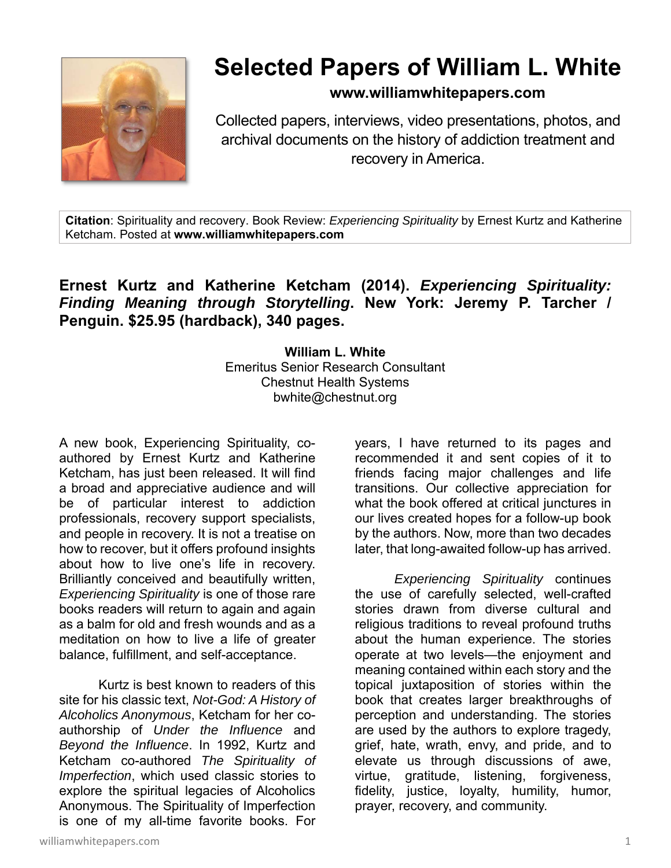

## **Selected Papers of William L. White**

## **www.williamwhitepapers.com**

Collected papers, interviews, video presentations, photos, and archival documents on the history of addiction treatment and recovery in America.

**Citation**: Spirituality and recovery. Book Review: *Experiencing Spirituality* by Ernest Kurtz and Katherine Ketcham. Posted at **www.williamwhitepapers.com** 

## **Ernest Kurtz and Katherine Ketcham (2014).** *Experiencing Spirituality: Finding Meaning through Storytelling***. New York: Jeremy P. Tarcher / Penguin. \$25.95 (hardback), 340 pages.**

**William L. White**  Emeritus Senior Research Consultant Chestnut Health Systems bwhite@chestnut.org

A new book, Experiencing Spirituality, coauthored by Ernest Kurtz and Katherine Ketcham, has just been released. It will find a broad and appreciative audience and will be of particular interest to addiction professionals, recovery support specialists, and people in recovery. It is not a treatise on how to recover, but it offers profound insights about how to live one's life in recovery. Brilliantly conceived and beautifully written, *Experiencing Spirituality* is one of those rare books readers will return to again and again as a balm for old and fresh wounds and as a meditation on how to live a life of greater balance, fulfillment, and self-acceptance.

 Kurtz is best known to readers of this site for his classic text, *Not-God: A History of Alcoholics Anonymous*, Ketcham for her coauthorship of *Under the Influence* and *Beyond the Influence*. In 1992, Kurtz and Ketcham co-authored *The Spirituality of Imperfection*, which used classic stories to explore the spiritual legacies of Alcoholics Anonymous. The Spirituality of Imperfection is one of my all-time favorite books. For

years, I have returned to its pages and recommended it and sent copies of it to friends facing major challenges and life transitions. Our collective appreciation for what the book offered at critical junctures in our lives created hopes for a follow-up book by the authors. Now, more than two decades later, that long-awaited follow-up has arrived.

*Experiencing Spirituality* continues the use of carefully selected, well-crafted stories drawn from diverse cultural and religious traditions to reveal profound truths about the human experience. The stories operate at two levels—the enjoyment and meaning contained within each story and the topical juxtaposition of stories within the book that creates larger breakthroughs of perception and understanding. The stories are used by the authors to explore tragedy, grief, hate, wrath, envy, and pride, and to elevate us through discussions of awe, virtue, gratitude, listening, forgiveness, fidelity, justice, loyalty, humility, humor, prayer, recovery, and community.